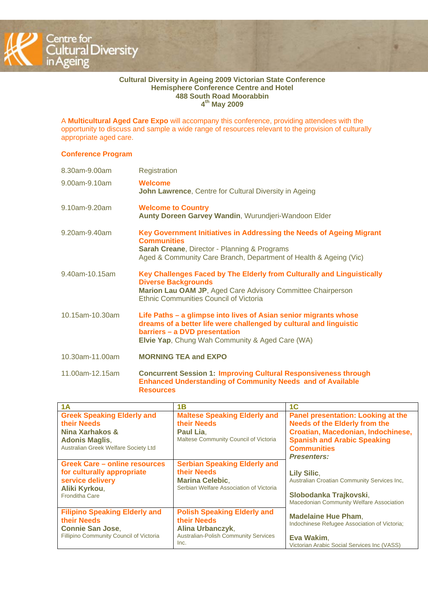### **Cultural Diversity in Ageing 2009 Victorian State Conference Hemisphere Conference Centre and Hotel 488 South Road Moorabbin 4th May 2009**

A **Multicultural Aged Care Expo** will accompany this conference, providing attendees with the opportunity to discuss and sample a wide range of resources relevant to the provision of culturally appropriate aged care.

## **Conference Program**

Centre for<br>Cultural Diversity<br>in Ageing

| 8.30am-9.00am   | Registration                                                                                                                                                                                                                          |
|-----------------|---------------------------------------------------------------------------------------------------------------------------------------------------------------------------------------------------------------------------------------|
| 9.00am-9.10am   | <b>Welcome</b><br>John Lawrence, Centre for Cultural Diversity in Ageing                                                                                                                                                              |
| 9.10am-9.20am   | <b>Welcome to Country</b><br>Aunty Doreen Garvey Wandin, Wurundjeri-Wandoon Elder                                                                                                                                                     |
| 9.20am-9.40am   | Key Government Initiatives in Addressing the Needs of Ageing Migrant<br><b>Communities</b><br><b>Sarah Creane, Director - Planning &amp; Programs</b><br>Aged & Community Care Branch, Department of Health & Ageing (Vic)            |
| 9.40am-10.15am  | Key Challenges Faced by The Elderly from Culturally and Linguistically<br><b>Diverse Backgrounds</b><br>Marion Lau OAM JP, Aged Care Advisory Committee Chairperson<br>Ethnic Communities Council of Victoria                         |
| 10.15am-10.30am | Life Paths – a glimpse into lives of Asian senior migrants whose<br>dreams of a better life were challenged by cultural and linguistic<br>barriers - a DVD presentation<br><b>Elvie Yap, Chung Wah Community &amp; Aged Care (WA)</b> |
| 10.30am-11.00am | <b>MORNING TEA and EXPO</b>                                                                                                                                                                                                           |
| 11.00am-12.15am | <b>Concurrent Session 1: Improving Cultural Responsiveness through</b><br><b>Enhanced Understanding of Community Needs and of Available</b><br><b>Resources</b>                                                                       |

| 1A                                      | 1B                                          | 1 <sup>C</sup>                               |
|-----------------------------------------|---------------------------------------------|----------------------------------------------|
| <b>Greek Speaking Elderly and</b>       | <b>Maltese Speaking Elderly and</b>         | Panel presentation: Looking at the           |
| their Needs                             | their Needs                                 | <b>Needs of the Elderly from the</b>         |
| Nina Xarhakos &                         | Paul Lia,                                   | Croatian, Macedonian, Indochinese,           |
| <b>Adonis Maglis,</b>                   | Maltese Community Council of Victoria       | <b>Spanish and Arabic Speaking</b>           |
| Australian Greek Welfare Society Ltd    |                                             | <b>Communities</b>                           |
|                                         |                                             | <b>Presenters:</b>                           |
| <b>Greek Care - online resources</b>    | <b>Serbian Speaking Elderly and</b>         |                                              |
| for culturally appropriate              | their Needs                                 | <b>Lily Silic,</b>                           |
| service delivery                        | <b>Marina Celebic,</b>                      | Australian Croatian Community Services Inc.  |
| Aliki Kyrkou,                           | Serbian Welfare Association of Victoria     |                                              |
| <b>Fronditha Care</b>                   |                                             | Slobodanka Trajkovski,                       |
|                                         |                                             | Macedonian Community Welfare Association     |
| <b>Filipino Speaking Elderly and</b>    | <b>Polish Speaking Elderly and</b>          | <b>Madelaine Hue Pham,</b>                   |
| their Needs                             | their Needs                                 | Indochinese Refugee Association of Victoria; |
| <b>Connie San Jose,</b>                 | Alina Urbanczyk,                            |                                              |
| Fillipino Community Council of Victoria | <b>Australian-Polish Community Services</b> | Eva Wakim,                                   |
|                                         | Inc.                                        | Victorian Arabic Social Services Inc (VASS)  |